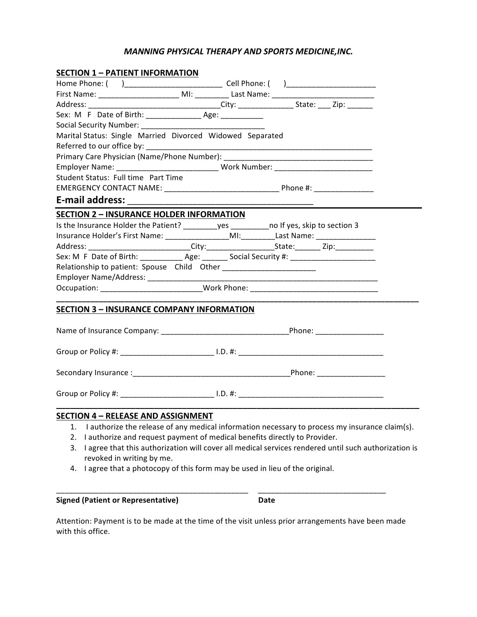# **MANNING PHYSICAL THERAPY AND SPORTS MEDICINE, INC.**

| <b>SECTION 1 - PATIENT INFORMATION</b>                                                         |  |                                                                                                      |
|------------------------------------------------------------------------------------------------|--|------------------------------------------------------------------------------------------------------|
|                                                                                                |  |                                                                                                      |
|                                                                                                |  |                                                                                                      |
|                                                                                                |  |                                                                                                      |
|                                                                                                |  |                                                                                                      |
|                                                                                                |  |                                                                                                      |
| Marital Status: Single Married Divorced Widowed Separated                                      |  |                                                                                                      |
|                                                                                                |  |                                                                                                      |
|                                                                                                |  |                                                                                                      |
| Employer Name: ______________________________Work Number: ______________________               |  |                                                                                                      |
| Student Status: Full time Part Time                                                            |  |                                                                                                      |
|                                                                                                |  |                                                                                                      |
|                                                                                                |  |                                                                                                      |
| <b>SECTION 2 - INSURANCE HOLDER INFORMATION</b>                                                |  |                                                                                                      |
| Is the Insurance Holder the Patient? _________yes ___________no If yes, skip to section 3      |  |                                                                                                      |
| Insurance Holder's First Name: _________________MI:_________Last Name: ________________        |  |                                                                                                      |
|                                                                                                |  |                                                                                                      |
| Sex: M F Date of Birth: ____________ Age: _______ Social Security #: _________________________ |  |                                                                                                      |
| Relationship to patient: Spouse Child Other ________________________                           |  |                                                                                                      |
|                                                                                                |  |                                                                                                      |
| Occupation: _____________________________Work Phone: ___________________________               |  |                                                                                                      |
| <b>SECTION 3 - INSURANCE COMPANY INFORMATION</b>                                               |  |                                                                                                      |
|                                                                                                |  |                                                                                                      |
|                                                                                                |  |                                                                                                      |
|                                                                                                |  |                                                                                                      |
|                                                                                                |  |                                                                                                      |
|                                                                                                |  |                                                                                                      |
|                                                                                                |  |                                                                                                      |
| <b>SECTION 4 - RELEASE AND ASSIGNMENT</b>                                                      |  |                                                                                                      |
| 1.                                                                                             |  | I authorize the release of any medical information necessary to process my insurance claim(s).       |
| I authorize and request payment of medical benefits directly to Provider.<br>2.                |  |                                                                                                      |
| 3.                                                                                             |  | I agree that this authorization will cover all medical services rendered until such authorization is |
| revoked in writing by me.                                                                      |  |                                                                                                      |
| I agree that a photocopy of this form may be used in lieu of the original.<br>4.               |  |                                                                                                      |
|                                                                                                |  |                                                                                                      |

**Signed (Patient or Representative) Date**

Attention: Payment is to be made at the time of the visit unless prior arrangements have been made with this office.

\_\_\_\_\_\_\_\_\_\_\_\_\_\_\_\_\_\_\_\_\_\_\_\_\_\_\_\_\_\_\_\_\_\_\_\_\_\_\_\_\_\_\_\_\_ \_\_\_\_\_\_\_\_\_\_\_\_\_\_\_\_\_\_\_\_\_\_\_\_\_\_\_\_\_\_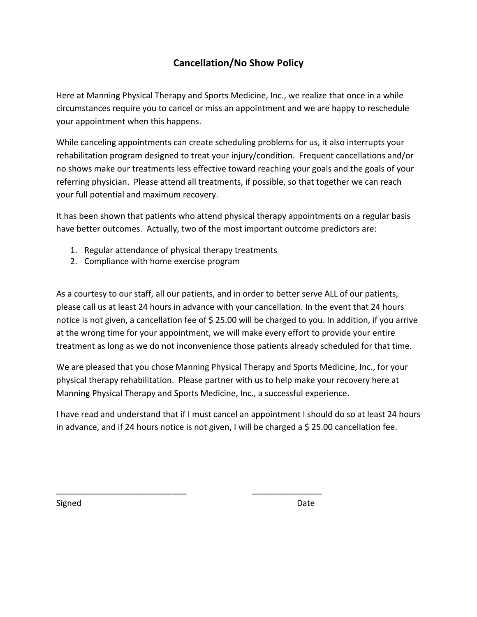# **Cancellation/No Show Policy**

Here at Manning Physical Therapy and Sports Medicine, Inc., we realize that once in a while circumstances require you to cancel or miss an appointment and we are happy to reschedule your appointment when this happens.

While canceling appointments can create scheduling problems for us, it also interrupts your rehabilitation program designed to treat your injury/condition. Frequent cancellations and/or no shows make our treatments less effective toward reaching your goals and the goals of your referring physician. Please attend all treatments, if possible, so that together we can reach your full potential and maximum recovery.

It has been shown that patients who attend physical therapy appointments on a regular basis have better outcomes. Actually, two of the most important outcome predictors are:

1. Regular attendance of physical therapy treatments

\_\_\_\_\_\_\_\_\_\_\_\_\_\_\_\_\_\_\_\_\_\_\_\_\_\_\_\_ \_\_\_\_\_\_\_\_\_\_\_\_\_\_\_

2. Compliance with home exercise program

As a courtesy to our staff, all our patients, and in order to better serve ALL of our patients, please call us at least 24 hours in advance with your cancellation. In the event that 24 hours notice is not given, a cancellation fee of \$ 25.00 will be charged to you. In addition, if you arrive at the wrong time for your appointment, we will make every effort to provide your entire treatment as long as we do not inconvenience those patients already scheduled for that time.

We are pleased that you chose Manning Physical Therapy and Sports Medicine, Inc., for your physical therapy rehabilitation. Please partner with us to help make your recovery here at Manning Physical Therapy and Sports Medicine, Inc., a successful experience.

I have read and understand that if I must cancel an appointment I should do so at least 24 hours in advance, and if 24 hours notice is not given, I will be charged a  $\frac{1}{2}$  25.00 cancellation fee.

Signed **Date**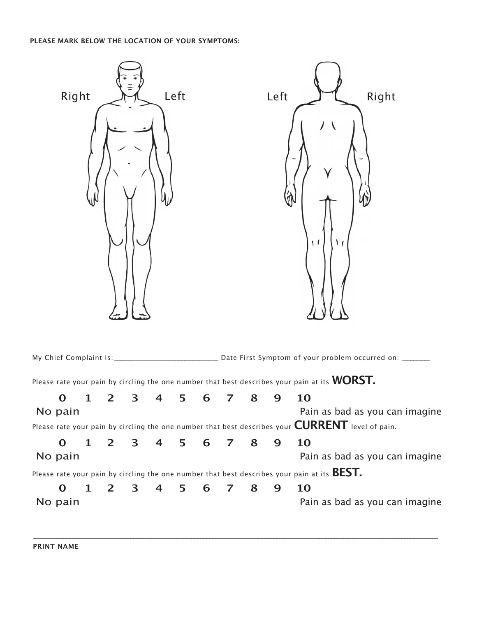# **PLEASE MARK BELOW THE LOCATION OF YOUR SYMPTOMS:**

| Left<br>Right |              |              |   |   |   |   | Right<br>Left<br>$\sqrt{ }$ |   |   |                                                                                                               |  |
|---------------|--------------|--------------|---|---|---|---|-----------------------------|---|---|---------------------------------------------------------------------------------------------------------------|--|
|               |              |              |   |   |   |   |                             |   |   |                                                                                                               |  |
|               |              |              |   |   |   |   |                             |   |   | Please rate your pain by circling the one number that best describes your pain at its $\mathsf{WORST.}$       |  |
| O             | 1            | $\mathbf{2}$ | 3 | 4 | 5 | 6 | 7                           | 8 | 9 | 10                                                                                                            |  |
| No pain       |              |              |   |   |   |   |                             |   |   | Pain as bad as you can imagine                                                                                |  |
|               |              |              |   |   |   |   |                             |   |   | Please rate your pain by circling the one number that best describes your $\textsf{CURRENT}$ level of pain.   |  |
| $\mathbf 0$   | $\mathbf{1}$ | $2^{\circ}$  | 3 | 4 | 5 | 6 | $\overline{7}$              | 8 | 9 | 10                                                                                                            |  |
| No pain       |              |              |   |   |   |   |                             |   |   | Pain as bad as you can imagine                                                                                |  |
|               |              |              |   |   |   |   |                             |   |   | Please rate your pain by circling the one number that best describes your pain at its $\mathsf{BEST_\bullet}$ |  |
| $\mathbf 0$   | $\mathbf{1}$ | $\mathbf{2}$ | 3 | 4 | 5 | 6 | 7                           | 8 | 9 | 10                                                                                                            |  |
| No pain       |              |              |   |   |   |   |                             |   |   | Pain as bad as you can imagine                                                                                |  |
|               |              |              |   |   |   |   |                             |   |   |                                                                                                               |  |

\_\_\_\_\_\_\_\_\_\_\_\_\_\_\_\_\_\_\_\_\_\_\_\_\_\_\_\_\_\_\_\_\_\_\_\_\_\_\_\_\_\_\_\_\_\_\_\_\_\_\_\_\_\_\_\_\_\_\_\_\_\_\_\_\_\_\_\_\_\_\_\_\_\_\_\_\_\_\_\_\_\_\_\_\_\_\_\_\_\_\_\_\_\_\_\_\_\_\_\_\_\_\_\_\_\_\_\_\_\_\_\_\_\_\_\_\_\_\_\_\_\_\_\_\_\_\_\_\_\_\_\_\_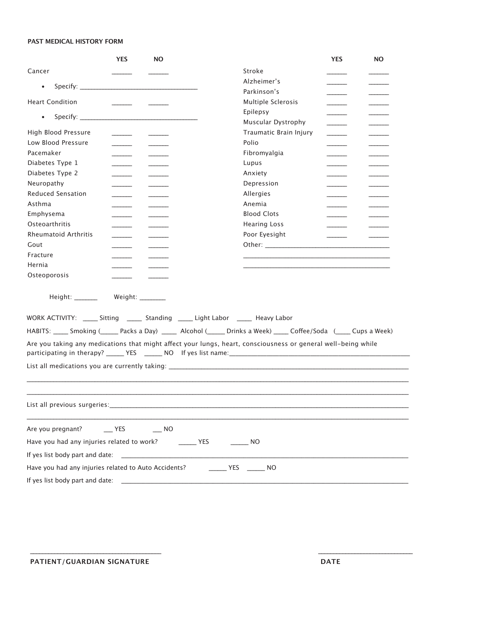### **PAST MEDICAL HISTORY FORM**

|                                                                                                                         | <b>YES</b>               | <b>NO</b> |                                                                                                               | <b>YES</b>               | <b>NO</b>                |  |
|-------------------------------------------------------------------------------------------------------------------------|--------------------------|-----------|---------------------------------------------------------------------------------------------------------------|--------------------------|--------------------------|--|
| Cancer                                                                                                                  |                          |           | Stroke                                                                                                        |                          |                          |  |
| $\bullet$                                                                                                               |                          |           | Alzheimer's                                                                                                   |                          |                          |  |
|                                                                                                                         |                          |           | Parkinson's                                                                                                   |                          |                          |  |
| <b>Heart Condition</b>                                                                                                  |                          |           | Multiple Sclerosis                                                                                            |                          |                          |  |
| $\bullet$                                                                                                               |                          |           | Epilepsy                                                                                                      |                          |                          |  |
|                                                                                                                         |                          |           | Muscular Dystrophy                                                                                            |                          |                          |  |
| High Blood Pressure                                                                                                     |                          |           | Traumatic Brain Injury                                                                                        | $\overline{\phantom{a}}$ |                          |  |
| Low Blood Pressure                                                                                                      |                          |           | Polio                                                                                                         | $\sim$ $\sim$            |                          |  |
| Pacemaker                                                                                                               |                          |           | Fibromyalgia                                                                                                  |                          |                          |  |
| Diabetes Type 1                                                                                                         |                          |           | Lupus                                                                                                         |                          |                          |  |
| Diabetes Type 2                                                                                                         | $\overline{\phantom{a}}$ |           | Anxiety                                                                                                       |                          |                          |  |
| Neuropathy                                                                                                              | $\overline{\phantom{a}}$ |           | Depression                                                                                                    |                          |                          |  |
| <b>Reduced Sensation</b>                                                                                                | $\sim$                   |           | Allergies                                                                                                     |                          | $\overline{\phantom{a}}$ |  |
| Asthma                                                                                                                  |                          |           | Anemia                                                                                                        |                          |                          |  |
| Emphysema                                                                                                               |                          |           | <b>Blood Clots</b>                                                                                            |                          |                          |  |
| Osteoarthritis                                                                                                          |                          |           | <b>Hearing Loss</b>                                                                                           |                          |                          |  |
| <b>Rheumatoid Arthritis</b>                                                                                             | $\sim$                   |           | Poor Eyesight                                                                                                 |                          |                          |  |
| Gout                                                                                                                    |                          |           |                                                                                                               |                          |                          |  |
| Fracture                                                                                                                |                          |           | <u> 1989 - Andrea Stadt Britain, amerikansk politik (* 1958)</u>                                              |                          |                          |  |
| Hernia                                                                                                                  |                          |           |                                                                                                               |                          |                          |  |
| Osteoporosis                                                                                                            |                          |           |                                                                                                               |                          |                          |  |
| Height: _________ Weight: ________                                                                                      |                          |           |                                                                                                               |                          |                          |  |
|                                                                                                                         |                          |           | WORK ACTIVITY: ______ Sitting ________ Standing ______ Light Labor _______ Heavy Labor                        |                          |                          |  |
| HABITS: _____ Smoking (_______ Packs a Day) ______ Alcohol (______ Drinks a Week) _____ Coffee/Soda (_____ Cups a Week) |                          |           |                                                                                                               |                          |                          |  |
|                                                                                                                         |                          |           | Are you taking any medications that might affect your lungs, heart, consciousness or general well-being while |                          |                          |  |
|                                                                                                                         |                          |           |                                                                                                               |                          |                          |  |
|                                                                                                                         |                          |           |                                                                                                               |                          |                          |  |
|                                                                                                                         |                          |           |                                                                                                               |                          |                          |  |
| List all previous surgeries:                                                                                            |                          |           |                                                                                                               |                          |                          |  |
| Are you pregnant? ________ YES ________ NO                                                                              |                          |           |                                                                                                               |                          |                          |  |
| Have you had any injuries related to work? ________ YES                                                                 |                          |           | $\rule{1em}{0.15mm}$ NO                                                                                       |                          |                          |  |
|                                                                                                                         |                          |           |                                                                                                               |                          |                          |  |
|                                                                                                                         |                          |           | NO                                                                                                            |                          |                          |  |
| If yes list body part and date:                                                                                         |                          |           |                                                                                                               |                          |                          |  |

 $\mathcal{L}_\mathcal{L} = \mathcal{L}_\mathcal{L} = \mathcal{L}_\mathcal{L} = \mathcal{L}_\mathcal{L} = \mathcal{L}_\mathcal{L} = \mathcal{L}_\mathcal{L} = \mathcal{L}_\mathcal{L} = \mathcal{L}_\mathcal{L} = \mathcal{L}_\mathcal{L} = \mathcal{L}_\mathcal{L} = \mathcal{L}_\mathcal{L} = \mathcal{L}_\mathcal{L} = \mathcal{L}_\mathcal{L} = \mathcal{L}_\mathcal{L} = \mathcal{L}_\mathcal{L} = \mathcal{L}_\mathcal{L} = \mathcal{L}_\mathcal{L}$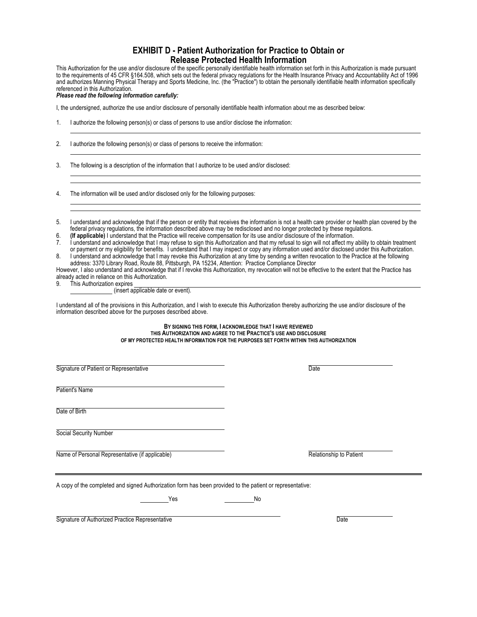# **EXHIBIT D - Patient Authorization for Practice to Obtain or Release Protected Health Information**

This Authorization for the use and/or disclosure of the specific personally identifiable health information set forth in this Authorization is made pursuant to the requirements of 45 CFR §164.508, which sets out the federal privacy regulations for the Health Insurance Privacy and Accountability Act of 1996 and authorizes Manning Physical Therapy and Sports Medicine, Inc. (the "Practice") to obtain the personally identifiable health information specifically referenced in this Authorization.

*Please read the following information carefully:*

I, the undersigned, authorize the use and/or disclosure of personally identifiable health information about me as described below:

1. I authorize the following person(s) or class of persons to use and/or disclose the information:

2. I authorize the following person(s) or class of persons to receive the information:

3. The following is a description of the information that I authorize to be used and/or disclosed:

4. The information will be used and/or disclosed only for the following purposes:

5. I understand and acknowledge that if the person or entity that receives the information is not a health care provider or health plan covered by the federal privacy regulations, the information described above may be redisclosed and no longer protected by these regulations.

6. **(If applicable)** I understand that the Practice will receive compensation for its use and/or disclosure of the information.

7. I understand and acknowledge that I may refuse to sign this Authorization and that my refusal to sign will not affect my ability to obtain treatment or payment or my eligibility for benefits. I understand that I may inspect or copy any information used and/or disclosed under this Authorization.

8. I understand and acknowledge that I may revoke this Authorization at any time by sending a written revocation to the Practice at the following address: 3370 Library Road, Route 88, Pittsburgh, PA 15234, Attention: Practice Compliance Director

However, I also understand and acknowledge that if I revoke this Authorization, my revocation will not be effective to the extent that the Practice has already acted in reliance on this Authorization.

This Authorization expires

(insert applicable date or event).

I understand all of the provisions in this Authorization, and I wish to execute this Authorization thereby authorizing the use and/or disclosure of the information described above for the purposes described above.

> **BY SIGNING THIS FORM, I ACKNOWLEDGE THAT I HAVE REVIEWED THIS AUTHORIZATION AND AGREE TO THE PRACTICE'S USE AND DISCLOSURE OF MY PROTECTED HEALTH INFORMATION FOR THE PURPOSES SET FORTH WITHIN THIS AUTHORIZATION**

Signature of Patient or Representative Date Date Date Patient's Name Date of Birth Social Security Number Name of Personal Representative (if applicable) **Relationship to Patient** Relationship to Patient A copy of the completed and signed Authorization form has been provided to the patient or representative: Yes No

Signature of Authorized Practice Representative Date Date Date Date Date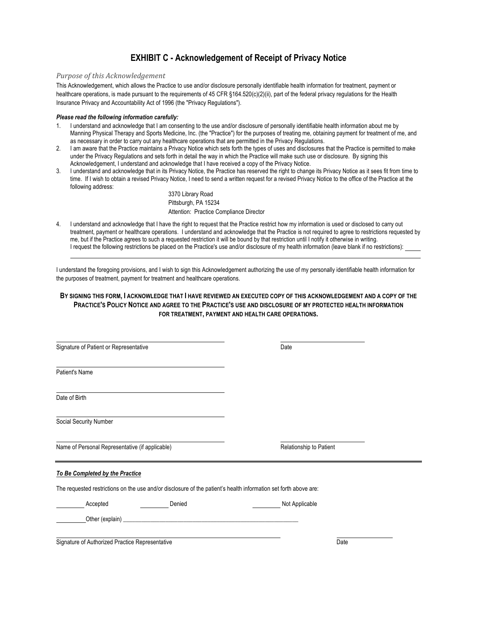# **EXHIBIT C - Acknowledgement of Receipt of Privacy Notice**

### **Purpose of this Acknowledgement**

This Acknowledgement, which allows the Practice to use and/or disclosure personally identifiable health information for treatment, payment or healthcare operations, is made pursuant to the requirements of 45 CFR §164.520(c)(2)(ii), part of the federal privacy regulations for the Health Insurance Privacy and Accountability Act of 1996 (the "Privacy Regulations").

### *Please read the following information carefully:*

- 1. I understand and acknowledge that I am consenting to the use and/or disclosure of personally identifiable health information about me by Manning Physical Therapy and Sports Medicine, Inc. (the "Practice") for the purposes of treating me, obtaining payment for treatment of me, and as necessary in order to carry out any healthcare operations that are permitted in the Privacy Regulations.
- 2. I am aware that the Practice maintains a Privacy Notice which sets forth the types of uses and disclosures that the Practice is permitted to make under the Privacy Regulations and sets forth in detail the way in which the Practice will make such use or disclosure. By signing this Acknowledgement, I understand and acknowledge that I have received a copy of the Privacy Notice.
- 3. I understand and acknowledge that in its Privacy Notice, the Practice has reserved the right to change its Privacy Notice as it sees fit from time to time. If I wish to obtain a revised Privacy Notice, I need to send a written request for a revised Privacy Notice to the office of the Practice at the following address:

3370 Library Road Pittsburgh, PA 15234 Attention: Practice Compliance Director

4. I understand and acknowledge that I have the right to request that the Practice restrict how my information is used or disclosed to carry out treatment, payment or healthcare operations. I understand and acknowledge that the Practice is not required to agree to restrictions requested by me, but if the Practice agrees to such a requested restriction it will be bound by that restriction until I notify it otherwise in writing. I request the following restrictions be placed on the Practice's use and/or disclosure of my health information (leave blank if no restrictions):

I understand the foregoing provisions, and I wish to sign this Acknowledgement authorizing the use of my personally identifiable health information for the purposes of treatment, payment for treatment and healthcare operations.

### **BY SIGNING THIS FORM, I ACKNOWLEDGE THAT I HAVE REVIEWED AN EXECUTED COPY OF THIS ACKNOWLEDGEMENT AND A COPY OF THE PRACTICE'S POLICY NOTICE AND AGREE TO THE PRACTICE'S USE AND DISCLOSURE OF MY PROTECTED HEALTH INFORMATION FOR TREATMENT, PAYMENT AND HEALTH CARE OPERATIONS.**

| Signature of Patient or Representative                                                                           | Date                    |  |
|------------------------------------------------------------------------------------------------------------------|-------------------------|--|
| Patient's Name                                                                                                   |                         |  |
| Date of Birth                                                                                                    |                         |  |
| Social Security Number                                                                                           |                         |  |
| Name of Personal Representative (if applicable)                                                                  | Relationship to Patient |  |
| To Be Completed by the Practice                                                                                  |                         |  |
| The requested restrictions on the use and/or disclosure of the patient's health information set forth above are: |                         |  |
| Accepted<br>Denied                                                                                               | Not Applicable          |  |
|                                                                                                                  |                         |  |
| Signature of Authorized Practice Representative                                                                  | Date                    |  |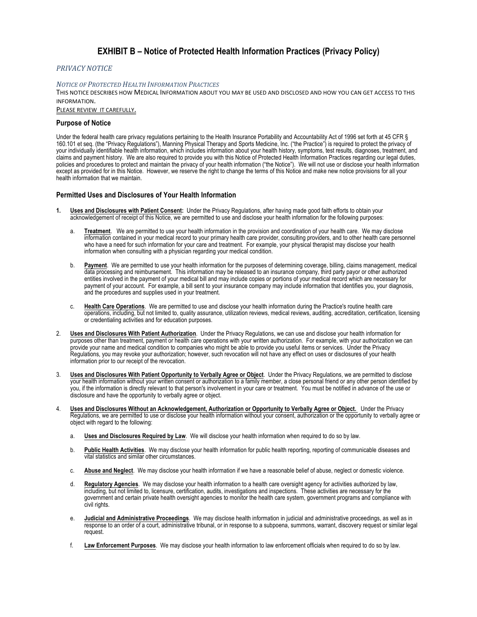# **EXHIBIT B – Notice of Protected Health Information Practices (Privacy Policy)**

### *PRIVACY NOTICE*

#### **NOTICE OF PROTECTED HEALTH INFORMATION PRACTICES**

THIS NOTICE DESCRIBES HOW MEDICAL INFORMATION ABOUT YOU MAY BE USED AND DISCLOSED AND HOW YOU CAN GET ACCESS TO THIS INFORMATION. 

PLEASE REVIEW IT CAREFULLY.

### **Purpose of Notice**

Under the federal health care privacy regulations pertaining to the Health Insurance Portability and Accountability Act of 1996 set forth at 45 CFR § 160.101 et seq. (the "Privacy Regulations"), Manning Physical Therapy and Sports Medicine, Inc. ("the Practice") is required to protect the privacy of your individually identifiable health information, which includes information about your health history, symptoms, test results, diagnoses, treatment, and claims and payment history. We are also required to provide you with this Notice of Protected Health Information Practices regarding our legal duties, policies and procedures to protect and maintain the privacy of your health information ("the Notice"). We will not use or disclose your health information except as provided for in this Notice. However, we reserve the right to change the terms of this Notice and make new notice provisions for all your health information that we maintain.

### **Permitted Uses and Disclosures of Your Health Information**

- **1. Uses and Disclosures with Patient Consent:** Under the Privacy Regulations, after having made good faith efforts to obtain your acknowledgement of receipt of this Notice, we are permitted to use and disclose your health information for the following purposes:
	- a. **Treatment**. We are permitted to use your health information in the provision and coordination of your health care. We may disclose information contained in your medical record to your primary health care provider, consulting providers, and to other health care personnel who have a need for such information for your care and treatment. For example, your physical therapist may disclose your health information when consulting with a physician regarding your medical condition.
	- b. **Payment**. We are permitted to use your health information for the purposes of determining coverage, billing, claims management, medical data processing and reimbursement. This information may be released to an insurance company, third party payor or other authorized entities involved in the payment of your medical bill and may include copies or portions of your medical record which are necessary for payment of your account. For example, a bill sent to your insurance company may include information that identifies you, your diagnosis, and the procedures and supplies used in your treatment.
	- c. **Health Care Operations**. We are permitted to use and disclose your health information during the Practice's routine health care operations, including, but not limited to, quality assurance, utilization reviews, medical reviews, auditing, accreditation, certification, licensing or credentialing activities and for education purposes.
- 2. **Uses and Disclosures With Patient Authorization**. Under the Privacy Regulations, we can use and disclose your health information for purposes other than treatment, payment or health care operations with your written authorization. For example, with your authorization we can provide your name and medical condition to companies who might be able to provide you useful items or services. Under the Privacy Regulations, you may revoke your authorization; however, such revocation will not have any effect on uses or disclosures of your health information prior to our receipt of the revocation.
- 3. **Uses and Disclosures With Patient Opportunity to Verbally Agree or Object**. Under the Privacy Regulations, we are permitted to disclose your health information without your written consent or authorization to a family member, a close personal friend or any other person identified by you, if the information is directly relevant to that person's involvement in your care or treatment. You must be notified in advance of the use or disclosure and have the opportunity to verbally agree or object.
- 4. **Uses and Disclosures Without an Acknowledgement, Authorization or Opportunity to Verbally Agree or Object.** Under the Privacy Regulations, we are permitted to use or disclose your health information without your consent, authorization or the opportunity to verbally agree or object with regard to the following:
	- a. **Uses and Disclosures Required by Law**. We will disclose your health information when required to do so by law.
	- b. **Public Health Activities**. We may disclose your health information for public health reporting, reporting of communicable diseases and vital statistics and similar other circumstances.
	- c. **Abuse and Neglect**. We may disclose your health information if we have a reasonable belief of abuse, neglect or domestic violence.
	- d. **Regulatory Agencies**. We may disclose your health information to a health care oversight agency for activities authorized by law, including, but not limited to, licensure, certification, audits, investigations and inspections. These activities are necessary for the government and certain private health oversight agencies to monitor the health care system, government programs and compliance with civil rights.
	- e. **Judicial and Administrative Proceedings**. We may disclose health information in judicial and administrative proceedings, as well as in response to an order of a court, administrative tribunal, or in response to a subpoena, summons, warrant, discovery request or similar legal request.
	- f. **Law Enforcement Purposes**. We may disclose your health information to law enforcement officials when required to do so by law.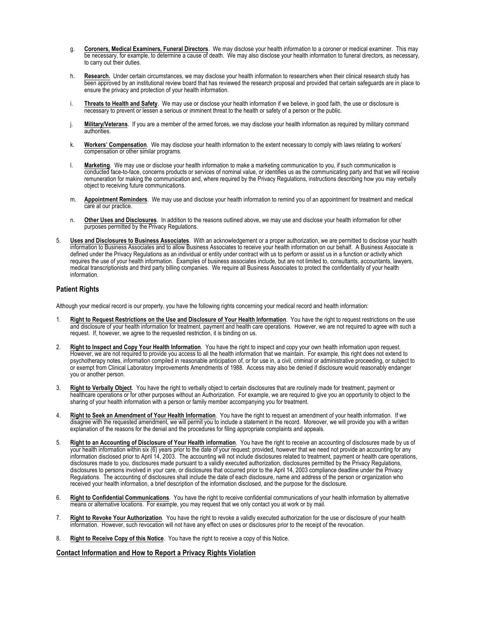- g. **Coroners, Medical Examiners, Funeral Directors**. We may disclose your health information to a coroner or medical examiner. This may be necessary, for example, to determine a cause of death. We may also disclose your health information to funeral directors, as necessary, to carry out their duties.
- h. **Research.** Under certain circumstances, we may disclose your health information to researchers when their clinical research study has been approved by an institutional review board that has reviewed the research proposal and provided that certain safeguards are in place to ensure the privacy and protection of your health information.
- i. **Threats to Health and Safety**.We may use or disclose your health information if we believe, in good faith, the use or disclosure is necessary to prevent or lessen a serious or imminent threat to the health or safety of a person or the public.
- j. **Military/Veterans**.If you are a member of the armed forces, we may disclose your health information as required by military command authorities.
- k. **Workers' Compensation**.We may disclose your health information to the extent necessary to comply with laws relating to workers' compensation or other similar programs.
- l. **Marketing**. We may use or disclose your health information to make a marketing communication to you, if such communication is conducted face-to-face, concerns products or services of nominal value, or identifies us as the communicating party and that we will receive remuneration for making the communication and, where required by the Privacy Regulations, instructions describing how you may verbally object to receiving future communications.
- m. **Appointment Reminders**. We may use and disclose your health information to remind you of an appointment for treatment and medical care at our practice.
- n. **Other Uses and Disclosures**. In addition to the reasons outlined above, we may use and disclose your health information for other purposes permitted by the Privacy Regulations.
- 5. **Uses and Disclosures to Business Associates**. With an acknowledgement or a proper authorization, we are permitted to disclose your health information to Business Associates and to allow Business Associates to receive your health information on our behalf. A Business Associate is defined under the Privacy Regulations as an individual or entity under contract with us to perform or assist us in a function or activity which requires the use of your health information. Examples of business associates include, but are not limited to, consultants, accountants, lawyers, medical transcriptionists and third party billing companies. We require all Business Associates to protect the confidentiality of your health information.

### **Patient Rights**

Although your medical record is our property, you have the following rights concerning your medical record and health information:

- 1. **Right to Request Restrictions on the Use and Disclosure of Your Health Information**. You have the right to request restrictions on the use and disclosure of your health information for treatment, payment and health care operations. However, we are not required to agree with such a request. If, however, we agree to the requested restriction, it is binding on us.
- 2. **Right to Inspect and Copy Your Health Information**. You have the right to inspect and copy your own health information upon request. However, we are not required to provide you access to all the health information that we maintain. For example, this right does not extend to psychotherapy notes, information compiled in reasonable anticipation of, or for use in, a civil, criminal or administrative proceeding, or subject to or exempt from Clinical Laboratory Improvements Amendments of 1988. Access may also be denied if disclosure would reasonably endanger you or another person.
- 3. **Right to Verbally Object**. You have the right to verbally object to certain disclosures that are routinely made for treatment, payment or healthcare operations or for other purposes without an Authorization. For example, we are required to give you an opportunity to object to the sharing of your health information with a person or family member accompanying you for treatment.
- 4. **Right to Seek an Amendment of Your Health Information**. You have the right to request an amendment of your health information. If we disagree with the requested amendment, we will permit you to include a statement in the record. Moreover, we will provide you with a written explanation of the reasons for the denial and the procedures for filing appropriate complaints and appeals.
- 5. **Right to an Accounting of Disclosure of Your Health information**. You have the right to receive an accounting of disclosures made by us of your health information within six (6) years prior to the date of your request; provided, however that we need not provide an accounting for any information disclosed prior to April 14, 2003. The accounting will not include disclosures related to treatment, payment or health care operations, disclosures made to you, disclosures made pursuant to a validly executed authorization, disclosures permitted by the Privacy Regulations, disclosures to persons involved in your care, or disclosures that occurred prior to the April 14, 2003 compliance deadline under the Privacy Regulations. The accounting of disclosures shall include the date of each disclosure, name and address of the person or organization who received your health information, a brief description of the information disclosed, and the purpose for the disclosure.
- 6. **Right to Confidential Communications**. You have the right to receive confidential communications of your health information by alternative means or alternative locations. For example, you may request that we only contact you at work or by mail.
- 7. **Right to Revoke Your Authorization**. You have the right to revoke a validly executed authorization for the use or disclosure of your health information. However, such revocation will not have any effect on uses or disclosures prior to the receipt of the revocation.
- 8. **Right to Receive Copy of this Notice**. You have the right to receive a copy of this Notice.

### **Contact Information and How to Report a Privacy Rights Violation**